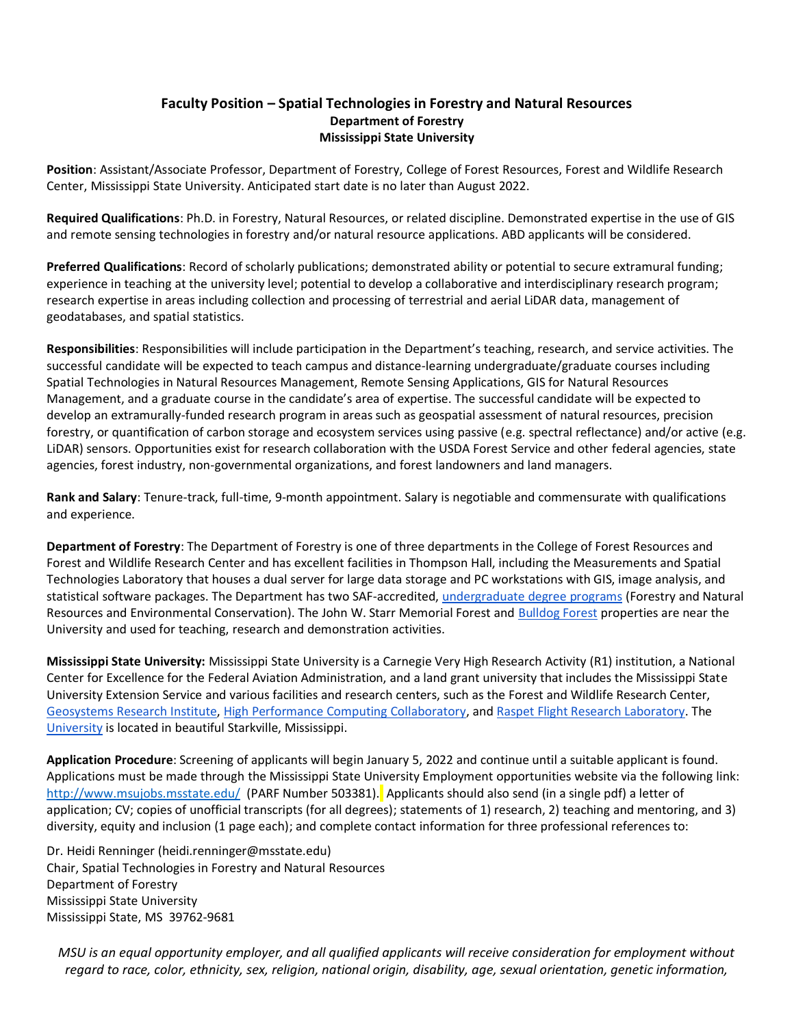## **Faculty Position – Spatial Technologies in Forestry and Natural Resources Department of Forestry Mississippi State University**

**Position**: Assistant/Associate Professor, Department of Forestry, College of Forest Resources, Forest and Wildlife Research Center, Mississippi State University. Anticipated start date is no later than August 2022.

**Required Qualifications**: Ph.D. in Forestry, Natural Resources, or related discipline. Demonstrated expertise in the use of GIS and remote sensing technologies in forestry and/or natural resource applications. ABD applicants will be considered.

**Preferred Qualifications**: Record of scholarly publications; demonstrated ability or potential to secure extramural funding; experience in teaching at the university level; potential to develop a collaborative and interdisciplinary research program; research expertise in areas including collection and processing of terrestrial and aerial LiDAR data, management of geodatabases, and spatial statistics.

**Responsibilities**: Responsibilities will include participation in the Department's teaching, research, and service activities. The successful candidate will be expected to teach campus and distance-learning undergraduate/graduate courses including Spatial Technologies in Natural Resources Management, Remote Sensing Applications, GIS for Natural Resources Management, and a graduate course in the candidate's area of expertise. The successful candidate will be expected to develop an extramurally-funded research program in areas such as geospatial assessment of natural resources, precision forestry, or quantification of carbon storage and ecosystem services using passive (e.g. spectral reflectance) and/or active (e.g. LiDAR) sensors. Opportunities exist for research collaboration with the USDA Forest Service and other federal agencies, state agencies, forest industry, non-governmental organizations, and forest landowners and land managers.

**Rank and Salary**: Tenure-track, full-time, 9-month appointment. Salary is negotiable and commensurate with qualifications and experience.

**Department of Forestry**: The Department of Forestry is one of three departments in the College of Forest Resources and Forest and Wildlife Research Center and has excellent facilities in Thompson Hall, including the Measurements and Spatial Technologies Laboratory that houses a dual server for large data storage and PC workstations with GIS, image analysis, and statistical software packages. The Department has two SAF-accredited[, undergraduate degree programs](https://www.cfr.msstate.edu/forestry/undergraduate.asp) (Forestry and Natural Resources and Environmental Conservation). The John W. Starr Memorial Forest an[d Bulldog Forest](https://www.msufoundation.com/s/811/foundation/interior.aspx?sid=811&gid=1&pgid=1379) properties are near the University and used for teaching, research and demonstration activities.

**Mississippi State University:** Mississippi State University is a Carnegie Very High Research Activity (R1) institution, a National Center for Excellence for the Federal Aviation Administration, and a land grant university that includes the Mississippi State University Extension Service and various facilities and research centers, such as the Forest and Wildlife Research Center, [Geosystems Research Institute,](http://www.gri.msstate.edu/) [High Performance Computing Collaboratory,](http://www.hpc.msstate.edu/) an[d Raspet Flight Research Laboratory.](http://www.raspet.msstate.edu/) The [University](http://www.msstate.edu/web/about) is located in beautiful Starkville, Mississippi.

**Application Procedure**: Screening of applicants will begin January 5, 2022 and continue until a suitable applicant is found. Applications must be made through the Mississippi State University Employment opportunities website via the following link: <http://www.msujobs.msstate.edu/> (PARF Number 503381). Applicants should also send (in a single pdf) a letter of application; CV; copies of unofficial transcripts (for all degrees); statements of 1) research, 2) teaching and mentoring, and 3) diversity, equity and inclusion (1 page each); and complete contact information for three professional references to:

Dr. Heidi Renninger (heidi.renninger@msstate.edu) Chair, Spatial Technologies in Forestry and Natural Resources Department of Forestry Mississippi State University Mississippi State, MS 39762-9681

*MSU is an equal opportunity employer, and all qualified applicants will receive consideration for employment without regard to race, color, ethnicity, sex, religion, national origin, disability, age, sexual orientation, genetic information,*